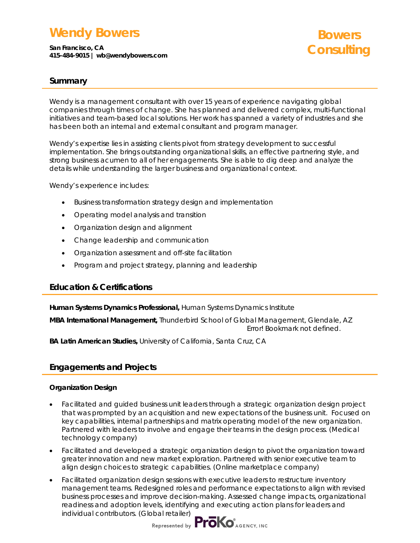## **Wendy Bowers**

**San Francisco, CA 415-484-9015 | wb@wendybowers.com** 

# **Bowers Consulting**

### **Summary**

Wendy is a management consultant with over 15 years of experience navigating global companies through times of change. She has planned and delivered complex, multi-functional initiatives and team-based local solutions. Her work has spanned a variety of industries and she has been both an internal and external consultant and program manager.

Wendy's expertise lies in assisting clients pivot from strategy development to successful implementation. She brings outstanding organizational skills, an effective partnering style, and strong business acumen to all of her engagements. She is able to dig deep and analyze the details while understanding the larger business and organizational context.

Wendy's experience includes:

- Business transformation strategy design and implementation
- Operating model analysis and transition
- Organization design and alignment
- Change leadership and communication
- Organization assessment and off-site facilitation
- Program and project strategy, planning and leadership

### **Education & Certifications**

**Human Systems Dynamics Professional,** Human Systems Dynamics Institute

**MBA International Management,** Thunderbird School of Global Management, Glendale, AZ Error! Bookmark not defined.

**BA Latin American Studies,** University of California, Santa Cruz, CA

## **Engagements and Projects**

### **Organization Design**

- Facilitated and guided business unit leaders through a strategic organization design project that was prompted by an acquisition and new expectations of the business unit. Focused on key capabilities, internal partnerships and matrix operating model of the new organization. Partnered with leaders to involve and engage their teams in the design process. *(Medical technology company)*
- Facilitated and developed a strategic organization design to pivot the organization toward greater innovation and new market exploration. Partnered with senior executive team to align design choices to strategic capabilities. *(Online marketplace company)*
- Facilitated organization design sessions with executive leaders to restructure inventory management teams. Redesigned roles and performance expectations to align with revised business processes and improve decision-making. Assessed change impacts, organizational readiness and adoption levels, identifying and executing action plans for leaders and individual contributors. *(Global retailer)*

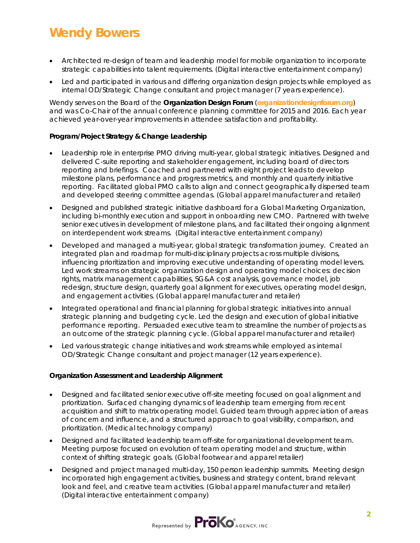# **Wendy Bowers**

- Architected re-design of team and leadership model for mobile organization to incorporate strategic capabilities into talent requirements. *(Digital interactive entertainment company)*
- Led and participated in various and differing organization design projects while employed as internal OD/Strategic Change consultant and project manager (7 years experience).

Wendy serves on the Board of the **Organization Design Forum** (**organizationdesignforum.org**) and was Co-Chair of the annual conference planning committee for 2015 and 2016. Each year achieved year-over-year improvements in attendee satisfaction and profitability.

### **Program/Project Strategy & Change Leadership**

- Leadership role in enterprise PMO driving multi-year, global strategic initiatives. Designed and delivered C-suite reporting and stakeholder engagement, including board of directors reporting and briefings. Coached and partnered with eight project leads to develop milestone plans, performance and progress metrics, and monthly and quarterly initiative reporting. Facilitated global PMO calls to align and connect geographically dispersed team and developed steering committee agendas. *(Global apparel manufacturer and retailer)*
- Designed and published strategic initiative dashboard for a Global Marketing Organization, including bi-monthly execution and support in onboarding new CMO. Partnered with twelve senior executives in development of milestone plans, and facilitated their ongoing alignment on interdependent work streams. *(Digital interactive entertainment company)*
- Developed and managed a multi-year, global strategic transformation journey. Created an integrated plan and roadmap for multi-disciplinary projects across multiple divisions, influencing prioritization and improving executive understanding of operating model levers. Led work streams on strategic organization design and operating model choices: decision rights, matrix management capabilities, SG&A cost analysis, governance model, job redesign, structure design, quarterly goal alignment for executives, operating model design, and engagement activities. *(Global apparel manufacturer and retailer)*
- Integrated operational and financial planning for global strategic initiatives into annual strategic planning and budgeting cycle. Led the design and execution of global initiative performance reporting. Persuaded executive team to streamline the number of projects as an outcome of the strategic planning cycle. *(Global apparel manufacturer and retailer)*
- Led various strategic change initiatives and work streams while employed as internal OD/Strategic Change consultant and project manager (12 years experience).

### **Organization Assessment and Leadership Alignment**

- Designed and facilitated senior executive off-site meeting focused on goal alignment and prioritization. Surfaced changing dynamics of leadership team emerging from recent acquisition and shift to matrix operating model. Guided team through appreciation of areas of concern and influence, and a structured approach to goal visibility, comparison, and prioritization. *(Medical technology company)*
- Designed and facilitated leadership team off-site for organizational development team. Meeting purpose focused on evolution of team operating model and structure, within context of shifting strategic goals. *(Global footwear and apparel retailer)*
- Designed and project managed multi-day, 150 person leadership summits. Meeting design incorporated high engagement activities, business and strategy content, brand relevant look and feel, and creative team activities. *(Global apparel manufacturer and retailer) (Digital interactive entertainment company)*